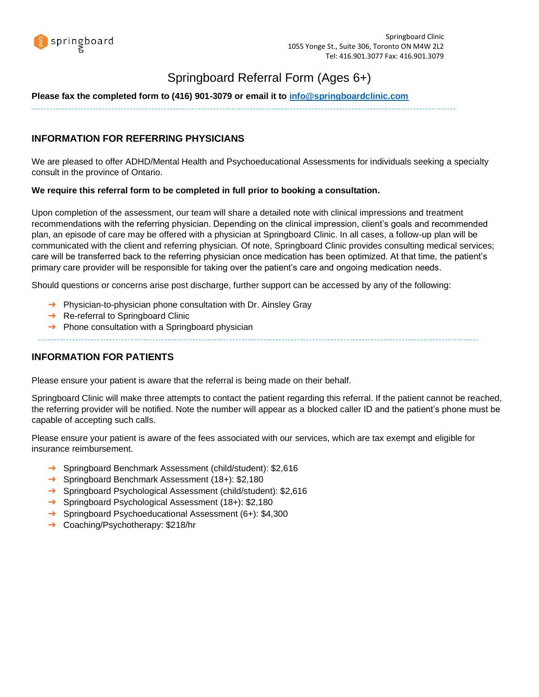

# Springboard Referral Form (Ages 6+)

#### **Please fax the completed form to (416) 901-3079 or email it to [info@springboardclinic.com](mailto:info@springboardclinic.com)**

## **INFORMATION FOR REFERRING PHYSICIANS**

We are pleased to offer ADHD/Mental Health and Psychoeducational Assessments for individuals seeking a specialty consult in the province of Ontario.

#### **We require this referral form to be completed in full prior to booking a consultation.**

Upon completion of the assessment, our team will share a detailed note with clinical impressions and treatment recommendations with the referring physician. Depending on the clinical impression, client's goals and recommended plan, an episode of care may be offered with a physician at Springboard Clinic. In all cases, a follow-up plan will be communicated with the client and referring physician. Of note, Springboard Clinic provides consulting medical services; care will be transferred back to the referring physician once medication has been optimized. At that time, the patient's primary care provider will be responsible for taking over the patient's care and ongoing medication needs.

Should questions or concerns arise post discharge, further support can be accessed by any of the following:

- → Physician-to-physician phone consultation with Dr. Ainsley Gray
- **→** Re-referral to Springboard Clinic
- $\rightarrow$  Phone consultation with a Springboard physician

### **INFORMATION FOR PATIENTS**

Please ensure your patient is aware that the referral is being made on their behalf.

Springboard Clinic will make three attempts to contact the patient regarding this referral. If the patient cannot be reached, the referring provider will be notified. Note the number will appear as a blocked caller ID and the patient's phone must be capable of accepting such calls.

Please ensure your patient is aware of the fees associated with our services, which are tax exempt and eligible for insurance reimbursement.

- ➔ Springboard Benchmark Assessment (child/student): \$2,616
- ➔ Springboard Benchmark Assessment (18+): \$2,180
- ➔ Springboard Psychological Assessment (child/student): \$2,616
- ➔ Springboard Psychological Assessment (18+): \$2,180
- ➔ Springboard Psychoeducational Assessment (6+): \$4,300
- ➔ Coaching/Psychotherapy: \$218/hr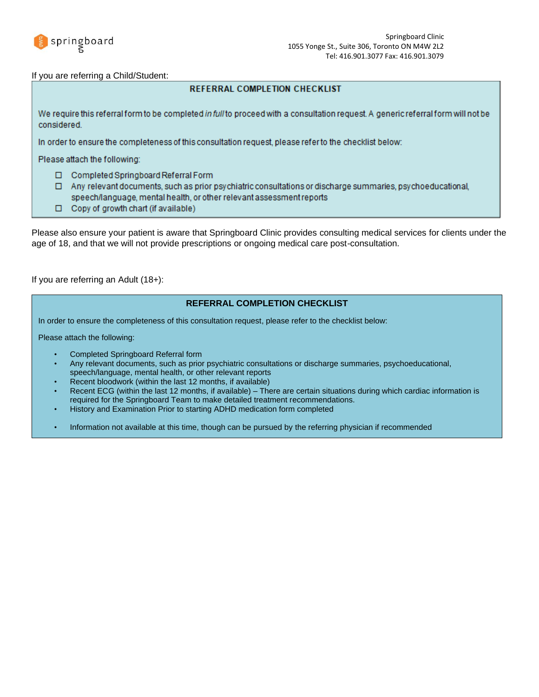

#### If you are referring a Child/Student:

### **REFERRAL COMPLETION CHECKLIST**

We require this referral form to be completed in full to proceed with a consultation request. A generic referral form will not be considered.

In order to ensure the completeness of this consultation request, please refer to the checklist below:

Please attach the following:

- Completed Springboard Referral Form
- □ Any relevant documents, such as prior psychiatric consultations or discharge summaries, psychoeducational, speech/language, mental health, or other relevant assessment reports
- □ Copy of growth chart (if available)

Please also ensure your patient is aware that Springboard Clinic provides consulting medical services for clients under the age of 18, and that we will not provide prescriptions or ongoing medical care post-consultation.

#### If you are referring an Adult (18+):

### **REFERRAL COMPLETION CHECKLIST**

In order to ensure the completeness of this consultation request, please refer to the checklist below:

Please attach the following:

- Completed Springboard Referral form
- Any relevant documents, such as prior psychiatric consultations or discharge summaries, psychoeducational, speech/language, mental health, or other relevant reports
- Recent bloodwork (within the last 12 months, if available)
- Recent ECG (within the last 12 months, if available) There are certain situations during which cardiac information is required for the Springboard Team to make detailed treatment recommendations.
- History and Examination Prior to starting ADHD medication form completed
- Information not available at this time, though can be pursued by the referring physician if recommended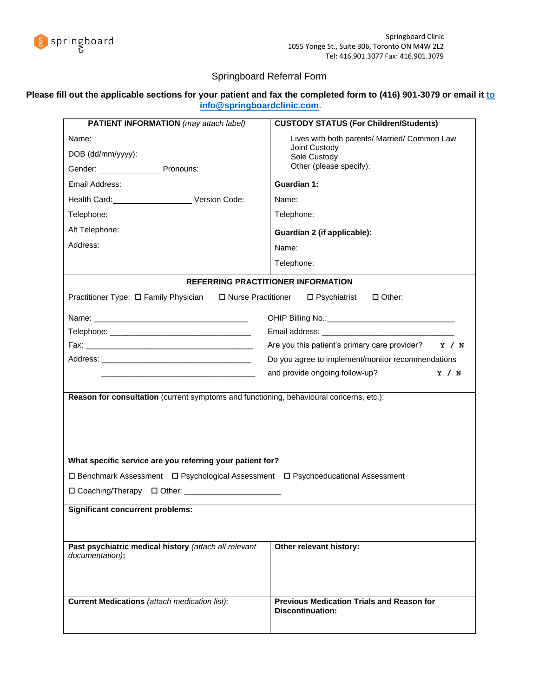

## Springboard Referral Form

### **Please fill out the applicable sections for your patient and fax the completed form to (416) 901-3079 or email i[t to](mailto:info@springboardclinic.com)  [info@springboardclinic.com](mailto:info@springboardclinic.com)**.

| <b>PATIENT INFORMATION</b> (may attach label)                                                                  | <b>CUSTODY STATUS (For Children/Students)</b>                                                                                                                                                                                  |  |  |  |
|----------------------------------------------------------------------------------------------------------------|--------------------------------------------------------------------------------------------------------------------------------------------------------------------------------------------------------------------------------|--|--|--|
| Name:<br>DOB (dd/mm/yyyy):<br>Gender: Pronouns:                                                                | Lives with both parents/ Married/ Common Law<br>Joint Custody<br>Sole Custody<br>Other (please specify):                                                                                                                       |  |  |  |
| Email Address:                                                                                                 | Guardian 1:                                                                                                                                                                                                                    |  |  |  |
| Health Card: Version Code:                                                                                     | Name:                                                                                                                                                                                                                          |  |  |  |
| Telephone:                                                                                                     | Telephone:                                                                                                                                                                                                                     |  |  |  |
| Alt Telephone:                                                                                                 | Guardian 2 (if applicable):                                                                                                                                                                                                    |  |  |  |
| Address:                                                                                                       | Name:                                                                                                                                                                                                                          |  |  |  |
|                                                                                                                | Telephone:                                                                                                                                                                                                                     |  |  |  |
|                                                                                                                | REFERRING PRACTITIONER INFORMATION                                                                                                                                                                                             |  |  |  |
| Practitioner Type: □ Family Physician □ Nurse Practitioner                                                     | □ Psychiatrist<br>$\Box$ Other:                                                                                                                                                                                                |  |  |  |
|                                                                                                                |                                                                                                                                                                                                                                |  |  |  |
|                                                                                                                |                                                                                                                                                                                                                                |  |  |  |
| Telephone: The contract of the contract of the contract of the contract of the contract of the contract of the | Email address: North and the Communication of the Communication of the Communication of the Communication of the Communication of the Communication of the Communication of the Communication of the Communication of the Comm |  |  |  |
|                                                                                                                | Are you this patient's primary care provider?<br>Y / N                                                                                                                                                                         |  |  |  |
| Do you agree to implement/monitor recommendations<br>and provide ongoing follow-up?                            |                                                                                                                                                                                                                                |  |  |  |
|                                                                                                                | Y / N                                                                                                                                                                                                                          |  |  |  |
| Reason for consultation (current symptoms and functioning, behavioural concerns, etc.):                        |                                                                                                                                                                                                                                |  |  |  |
|                                                                                                                |                                                                                                                                                                                                                                |  |  |  |
|                                                                                                                |                                                                                                                                                                                                                                |  |  |  |
|                                                                                                                |                                                                                                                                                                                                                                |  |  |  |
| What specific service are you referring your patient for?                                                      |                                                                                                                                                                                                                                |  |  |  |
| □ Benchmark Assessment □ Psychological Assessment □ Psychoeducational Assessment                               |                                                                                                                                                                                                                                |  |  |  |
| □ Coaching/Therapy □ Other: _________________________                                                          |                                                                                                                                                                                                                                |  |  |  |
| <b>Significant concurrent problems:</b>                                                                        |                                                                                                                                                                                                                                |  |  |  |
|                                                                                                                |                                                                                                                                                                                                                                |  |  |  |
|                                                                                                                |                                                                                                                                                                                                                                |  |  |  |
| Past psychiatric medical history (attach all relevant<br>documentation):                                       | Other relevant history:                                                                                                                                                                                                        |  |  |  |
|                                                                                                                |                                                                                                                                                                                                                                |  |  |  |
| <b>Current Medications</b> (attach medication list):                                                           | <b>Previous Medication Trials and Reason for</b><br><b>Discontinuation:</b>                                                                                                                                                    |  |  |  |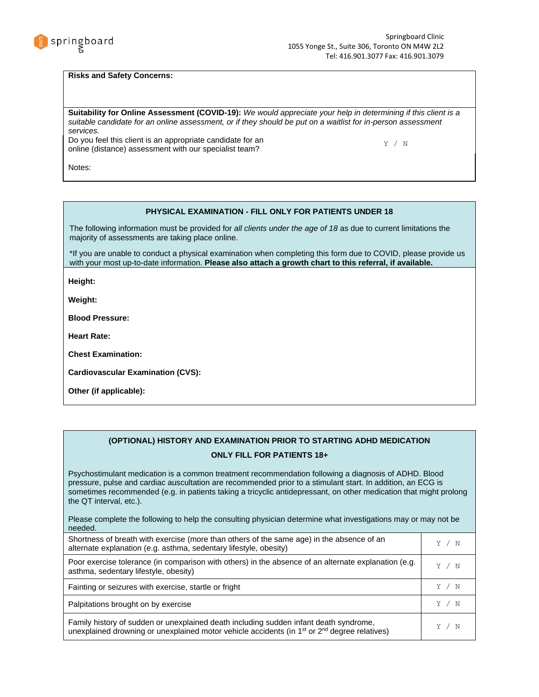

#### **Risks and Safety Concerns:**

**Suitability for Online Assessment (COVID-19):** *We would appreciate your help in determining if this client is a suitable candidate for an online assessment, or if they should be put on a waitlist for in-person assessment services.*

Do you feel this client is an appropriate candidate for an Do you reel this client is an appropriate candidate for an  $Y / N$  online (distance) assessment with our specialist team?

Notes:

#### **PHYSICAL EXAMINATION - FILL ONLY FOR PATIENTS UNDER 18**

The following information must be provided for *all clients under the age of 18* as due to current limitations the majority of assessments are taking place online.

\*If you are unable to conduct a physical examination when completing this form due to COVID, please provide us with your most up-to-date information. **Please also attach a growth chart to this referral, if available.**

**Height:**

**Weight:**

**Blood Pressure:** 

**Heart Rate:**

**Chest Examination:**

**Cardiovascular Examination (CVS):**

**Other (if applicable):**

### **(OPTIONAL) HISTORY AND EXAMINATION PRIOR TO STARTING ADHD MEDICATION ONLY FILL FOR PATIENTS 18+**

Psychostimulant medication is a common treatment recommendation following a diagnosis of ADHD. Blood pressure, pulse and cardiac auscultation are recommended prior to a stimulant start. In addition, an ECG is sometimes recommended (e.g. in patients taking a tricyclic antidepressant, on other medication that might prolong the QT interval, etc.).

Please complete the following to help the consulting physician determine what investigations may or may not be needed.

| Shortness of breath with exercise (more than others of the same age) in the absence of an<br>alternate explanation (e.g. asthma, sedentary lifestyle, obesity)                            |       |
|-------------------------------------------------------------------------------------------------------------------------------------------------------------------------------------------|-------|
| Poor exercise tolerance (in comparison with others) in the absence of an alternate explanation (e.g.<br>asthma, sedentary lifestyle, obesity)                                             | Y / N |
| Fainting or seizures with exercise, startle or fright                                                                                                                                     | Y / N |
| Palpitations brought on by exercise                                                                                                                                                       | Y / N |
| Family history of sudden or unexplained death including sudden infant death syndrome,<br>unexplained drowning or unexplained motor vehicle accidents (in $1st$ or $2nd$ degree relatives) | Y / N |